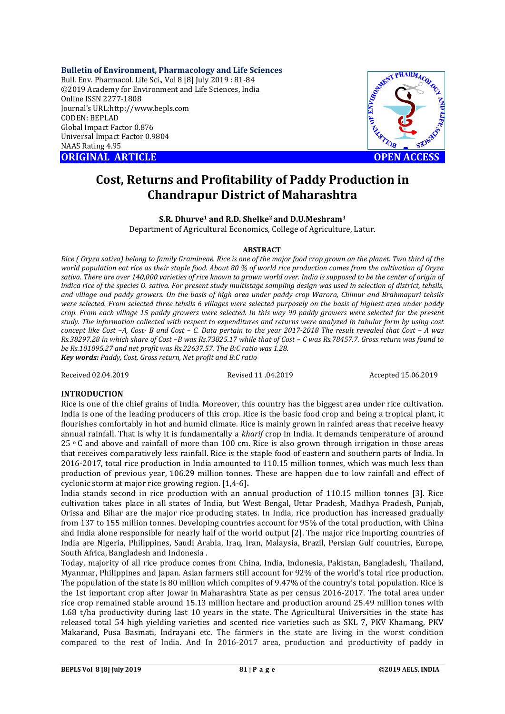**Bulletin of Environment, Pharmacology and Life Sciences** Bull. Env. Pharmacol. Life Sci., Vol 8 [8] July 2019 : 81-84 ©2019 Academy for Environment and Life Sciences, India Online ISSN 2277-1808 Journal's URL:http://www.bepls.com CODEN: BEPLAD Global Impact Factor 0.876 Universal Impact Factor 0.9804 NAAS Rating 4.95

**ORIGINAL ARTICLE OPEN ACCESS** 



# **Cost, Returns and Profitability of Paddy Production in Chandrapur District of Maharashtra**

**S.R. Dhurve1 and R.D. Shelke2 and D.U.Meshram3**

Department of Agricultural Economics, College of Agriculture, Latur.

### **ABSTRACT**

*Rice ( Oryza sativa) belong to family Gramineae. Rice is one of the major food crop grown on the planet. Two third of the world population eat rice as their staple food. About 80 % of world rice production comes from the cultivation of Oryza sativa. There are over 140,000 varieties of rice known to grown world over. India is supposed to be the center of origin of indica rice of the species O. sativa. For present study multistage sampling design was used in selection of district, tehsils, and village and paddy growers. On the basis of high area under paddy crop Warora, Chimur and Brahmapuri tehsils were selected. From selected three tehsils 6 villages were selected purposely on the basis of highest area under paddy crop. From each village 15 paddy growers were selected. In this way 90 paddy growers were selected for the present study. The information collected with respect to expenditures and returns were analyzed in tabular form by using cost concept like Cost –A, Cost- B and Cost – C. Data pertain to the year 2017-2018 The result revealed that Cost – A was Rs.38297.28 in which share of Cost –B was Rs.73825.17 while that of Cost – C was Rs.78457.7. Gross return was found to be Rs.101095.27 and net profit was Rs.22637.57. The B:C ratio was 1.28. Key words: Paddy, Cost, Gross return, Net profit and B:C ratio*

Received 02.04.2019 Revised 11 .04.2019 Accepted 15.06.2019

# **INTRODUCTION**

Rice is one of the chief grains of India. Moreover, this country has the biggest area under rice cultivation. India is one of the leading producers of this crop. Rice is the basic food crop and being a tropical plant, it flourishes comfortably in hot and humid climate. Rice is mainly grown in rainfed areas that receive heavy annual rainfall. That is why it is fundamentally a *kharif* crop in India. It demands temperature of around 25  $\degree$  C and above and rainfall of more than 100 cm. Rice is also grown through irrigation in those areas that receives comparatively less rainfall. Rice is the staple food of eastern and southern parts of India. In 2016-2017, total rice production in India amounted to 110.15 million tonnes, which was much less than production of previous year, 106.29 million tonnes. These are happen due to low rainfall and effect of cyclonic storm at major rice growing region. [1,4-6]**.**

India stands second in rice production with an annual production of 110.15 million tonnes [3]. Rice cultivation takes place in all states of India, but West Bengal, Uttar Pradesh, Madhya Pradesh, Punjab, Orissa and Bihar are the major rice producing states. In India, rice production has increased gradually from 137 to 155 million tonnes. Developing countries account for 95% of the total production, with China and India alone responsible for nearly half of the world output [2]. The major rice importing countries of India are Nigeria, Philippines, Saudi Arabia, Iraq, Iran, Malaysia, Brazil, Persian Gulf countries, Europe, South Africa, Bangladesh and Indonesia .

Today, majority of all rice produce comes from China, India, Indonesia, Pakistan, Bangladesh, Thailand, Myanmar, Philippines and Japan. Asian farmers still account for 92% of the world's total rice production. The population of the state is 80 million which compites of 9.47% of the country's total population. Rice is the 1st important crop after Jowar in Maharashtra State as per census 2016-2017. The total area under rice crop remained stable around 15.13 million hectare and production around 25.49 million tones with 1.68 t/ha productivity during last 10 years in the state. The Agricultural Universities in the state has released total 54 high yielding varieties and scented rice varieties such as SKL 7, PKV Khamang, PKV Makarand, Pusa Basmati, Indrayani etc. The farmers in the state are living in the worst condition compared to the rest of India. And In 2016-2017 area, production and productivity of paddy in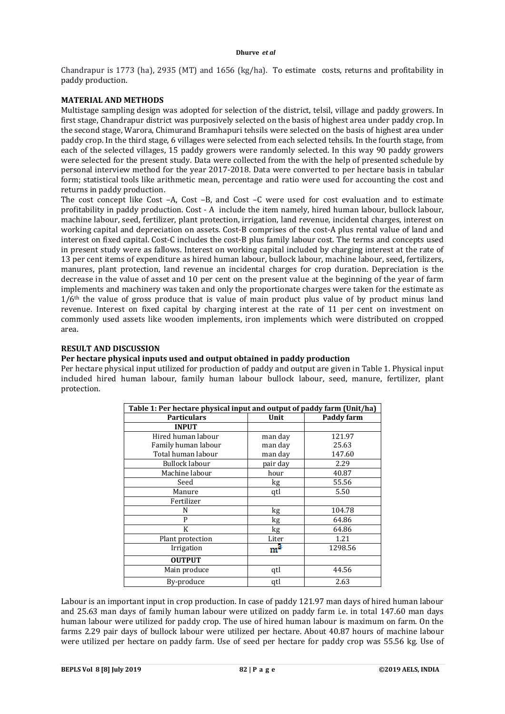#### **Dhurve** *et al*

Chandrapur is 1773 (ha), 2935 (MT) and 1656 (kg/ha). To estimate costs, returns and profitability in paddy production.

# **MATERIAL AND METHODS**

Multistage sampling design was adopted for selection of the district, telsil, village and paddy growers. In first stage, Chandrapur district was purposively selected on the basis of highest area under paddy crop. In the second stage, Warora, Chimurand Bramhapuri tehsils were selected on the basis of highest area under paddy crop. In the third stage, 6 villages were selected from each selected tehsils. In the fourth stage, from each of the selected villages, 15 paddy growers were randomly selected. In this way 90 paddy growers were selected for the present study. Data were collected from the with the help of presented schedule by personal interview method for the year 2017-2018. Data were converted to per hectare basis in tabular form; statistical tools like arithmetic mean, percentage and ratio were used for accounting the cost and returns in paddy production.

The cost concept like Cost –A, Cost –B, and Cost –C were used for cost evaluation and to estimate profitability in paddy production. Cost - A include the item namely, hired human labour, bullock labour, machine labour, seed, fertilizer, plant protection, irrigation, land revenue, incidental charges, interest on working capital and depreciation on assets. Cost-B comprises of the cost-A plus rental value of land and interest on fixed capital. Cost-C includes the cost-B plus family labour cost. The terms and concepts used in present study were as fallows. Interest on working capital included by charging interest at the rate of 13 per cent items of expenditure as hired human labour, bullock labour, machine labour, seed, fertilizers, manures, plant protection, land revenue an incidental charges for crop duration. Depreciation is the decrease in the value of asset and 10 per cent on the present value at the beginning of the year of farm implements and machinery was taken and only the proportionate charges were taken for the estimate as  $1/6<sup>th</sup>$  the value of gross produce that is value of main product plus value of by product minus land revenue. Interest on fixed capital by charging interest at the rate of 11 per cent on investment on commonly used assets like wooden implements, iron implements which were distributed on cropped area.

# **RESULT AND DISCUSSION**

# **Per hectare physical inputs used and output obtained in paddy production**

Per hectare physical input utilized for production of paddy and output are given in Table 1. Physical input included hired human labour, family human labour bullock labour, seed, manure, fertilizer, plant protection.

| Table 1: Per hectare physical input and output of paddy farm (Unit/ha) |          |            |  |  |  |  |  |
|------------------------------------------------------------------------|----------|------------|--|--|--|--|--|
| <b>Particulars</b>                                                     | Unit     | Paddy farm |  |  |  |  |  |
| <b>INPUT</b>                                                           |          |            |  |  |  |  |  |
| Hired human labour                                                     | man day  | 121.97     |  |  |  |  |  |
| Family human labour                                                    | man day  | 25.63      |  |  |  |  |  |
| Total human labour                                                     | man day  | 147.60     |  |  |  |  |  |
| Bullock labour                                                         | pair day | 2.29       |  |  |  |  |  |
| Machine labour                                                         | hour     | 40.87      |  |  |  |  |  |
| Seed                                                                   | kg       | 55.56      |  |  |  |  |  |
| Manure                                                                 | qtl      | 5.50       |  |  |  |  |  |
| Fertilizer                                                             |          |            |  |  |  |  |  |
| N                                                                      | kg       | 104.78     |  |  |  |  |  |
| P                                                                      | kg       | 64.86      |  |  |  |  |  |
| K                                                                      | kg       | 64.86      |  |  |  |  |  |
| Plant protection                                                       | Liter    | 1.21       |  |  |  |  |  |
| Irrigation                                                             | $m^3$    | 1298.56    |  |  |  |  |  |
| <b>OUTPUT</b>                                                          |          |            |  |  |  |  |  |
| Main produce                                                           | qtl      | 44.56      |  |  |  |  |  |
| By-produce                                                             | qtl      | 2.63       |  |  |  |  |  |

Labour is an important input in crop production. In case of paddy 121.97 man days of hired human labour and 25.63 man days of family human labour were utilized on paddy farm i.e. in total 147.60 man days human labour were utilized for paddy crop. The use of hired human labour is maximum on farm. On the farms 2.29 pair days of bullock labour were utilized per hectare. About 40.87 hours of machine labour were utilized per hectare on paddy farm. Use of seed per hectare for paddy crop was 55.56 kg. Use of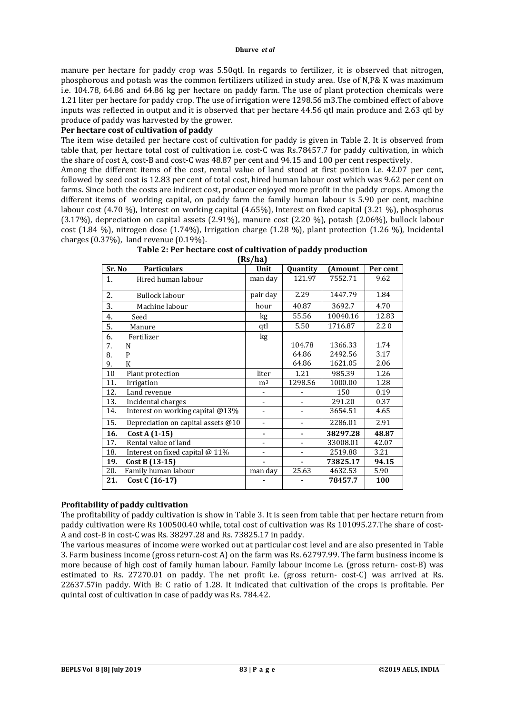#### **Dhurve** *et al*

manure per hectare for paddy crop was 5.50qtl. In regards to fertilizer, it is observed that nitrogen, phosphorous and potash was the common fertilizers utilized in study area. Use of N,P& K was maximum i.e. 104.78, 64.86 and 64.86 kg per hectare on paddy farm. The use of plant protection chemicals were 1.21 liter per hectare for paddy crop. The use of irrigation were 1298.56 m3.The combined effect of above inputs was reflected in output and it is observed that per hectare 44.56 qtl main produce and 2.63 qtl by produce of paddy was harvested by the grower.

# **Per hectare cost of cultivation of paddy**

The item wise detailed per hectare cost of cultivation for paddy is given in Table 2. It is observed from table that, per hectare total cost of cultivation i.e. cost-C was Rs.78457.7 for paddy cultivation, in which the share of cost A, cost-B and cost-C was 48.87 per cent and 94.15 and 100 per cent respectively.

Among the different items of the cost, rental value of land stood at first position i.e. 42.07 per cent, followed by seed cost is 12.83 per cent of total cost, hired human labour cost which was 9.62 per cent on farms. Since both the costs are indirect cost, producer enjoyed more profit in the paddy crops. Among the different items of working capital, on paddy farm the family human labour is 5.90 per cent, machine labour cost (4.70 %), Interest on working capital (4.65%), Interest on fixed capital (3.21 %), phosphorus (3.17%), depreciation on capital assets (2.91%), manure cost (2.20 %), potash (2.06%), bullock labour cost (1.84 %), nitrogen dose (1.74%), Irrigation charge (1.28 %), plant protection (1.26 %), Incidental charges (0.37%), land revenue (0.19%).

| Sr. No | <b>Particulars</b>                 | (www.<br>Unit            | Quantity                 | (Amount  | Per cent |  |
|--------|------------------------------------|--------------------------|--------------------------|----------|----------|--|
| 1.     | Hired human labour                 | man day                  | 121.97                   | 7552.71  | 9.62     |  |
| 2.     | Bullock labour                     | pair day                 | 2.29                     | 1447.79  | 1.84     |  |
| 3.     | Machine labour                     | hour                     | 40.87                    | 3692.7   | 4.70     |  |
| 4.     | Seed                               | kg                       | 55.56                    | 10040.16 | 12.83    |  |
| 5.     | Manure                             | qtl                      | 5.50                     | 1716.87  | 2.20     |  |
| 6.     | Fertilizer                         | kg                       |                          |          |          |  |
| 7.     | N                                  |                          | 104.78                   | 1366.33  | 1.74     |  |
| 8.     | P                                  |                          | 64.86                    | 2492.56  | 3.17     |  |
| 9.     | K                                  |                          | 64.86                    | 1621.05  | 2.06     |  |
| 10     | Plant protection                   | liter                    | 1.21                     | 985.39   | 1.26     |  |
| 11.    | Irrigation                         | m <sup>3</sup>           | 1298.56                  | 1000.00  | 1.28     |  |
| 12.    | Land revenue                       | $\overline{a}$           |                          | 150      | 0.19     |  |
| 13.    | Incidental charges                 |                          |                          | 291.20   | 0.37     |  |
| 14.    | Interest on working capital @13%   | $\blacksquare$           |                          | 3654.51  | 4.65     |  |
| 15.    | Depreciation on capital assets @10 | $\overline{\phantom{a}}$ | $\overline{\phantom{0}}$ | 2286.01  | 2.91     |  |
| 16.    | Cost A (1-15)                      | ۰                        |                          | 38297.28 | 48.87    |  |
| 17.    | Rental value of land               |                          |                          | 33008.01 | 42.07    |  |
| 18.    | Interest on fixed capital @ 11%    | $\overline{\phantom{0}}$ |                          | 2519.88  | 3.21     |  |
| 19.    | Cost B (13-15)                     |                          |                          | 73825.17 | 94.15    |  |
| 20.    | Family human labour                | man day                  | 25.63                    | 4632.53  | 5.90     |  |
| 21.    | Cost C (16-17)                     |                          |                          | 78457.7  | 100      |  |

| Table 2: Per hectare cost of cultivation of paddy production |
|--------------------------------------------------------------|
| $(D_2/h_2)$                                                  |

**Profitability of paddy cultivation**  The profitability of paddy cultivation is show in Table 3. It is seen from table that per hectare return from paddy cultivation were Rs 100500.40 while, total cost of cultivation was Rs 101095.27.The share of cost-A and cost-B in cost-C was Rs. 38297.28 and Rs. 73825.17 in paddy.

The various measures of income were worked out at particular cost level and are also presented in Table 3. Farm business income (gross return-cost A) on the farm was Rs. 62797.99. The farm business income is more because of high cost of family human labour. Family labour income i.e. (gross return- cost-B) was estimated to Rs. 27270.01 on paddy. The net profit i.e. (gross return- cost-C) was arrived at Rs. 22637.57in paddy. With B: C ratio of 1.28. It indicated that cultivation of the crops is profitable. Per quintal cost of cultivation in case of paddy was Rs. 784.42.